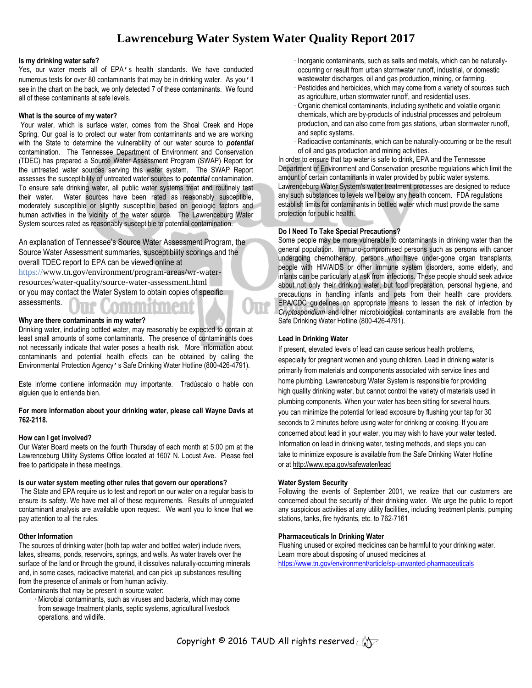## **Lawrenceburg Water System Water Quality Report 2017**

#### **Is my drinking water safe?**

Yes, our water meets all of EPA's health standards. We have conducted numerous tests for over 80 contaminants that may be in drinking water. As you'll see in the chart on the back, we only detected 7 of these contaminants. We found all of these contaminants at safe levels.

#### **What is the source of my water?**

Your water, which is surface water, comes from the Shoal Creek and Hope Spring. Our goal is to protect our water from contaminants and we are working with the State to determine the vulnerability of our water source to *potential* contamination. The Tennessee Department of Environment and Conservation (TDEC) has prepared a Source Water Assessment Program (SWAP) Report for the untreated water sources serving this water system. The SWAP Report assesses the susceptibility of untreated water sources to *potential* contamination. To ensure safe drinking water, all public water systems treat and routinely test their water. Water sources have been rated as reasonably susceptible, moderately susceptible or slightly susceptible based on geologic factors and human activities in the vicinity of the water source. The Lawrenceburg Water System sources rated as reasonably susceptible to potential contamination.

An explanation of Tennessee's Source Water Assessment Program, the Source Water Assessment summaries, susceptibility scorings and the overall TDEC report to EPA can be viewed online at https://www.tn.gov/environment/program-areas/wr-waterresources/water-quality/source-water-assessment.html or you may contact the Water System to obtain copies of specific assessments.

#### **Why are there contaminants in my water?**

Drinking water, including bottled water, may reasonably be expected to contain at least small amounts of some contaminants. The presence of contaminants does not necessarily indicate that water poses a health risk. More information about contaminants and potential health effects can be obtained by calling the Environmental Protection Agency's Safe Drinking Water Hotline (800-426-4791).

Este informe contiene información muy importante. Tradúscalo o hable con alguien que lo entienda bien.

#### **For more information about your drinking water, please call Wayne Davis at 762-2118.**

#### **How can I get involved?**

Our Water Board meets on the fourth Thursday of each month at 5:00 pm at the Lawrenceburg Utility Systems Office located at 1607 N. Locust Ave. Please feel free to participate in these meetings.

#### **Is our water system meeting other rules that govern our operations?**

The State and EPA require us to test and report on our water on a regular basis to ensure its safety. We have met all of these requirements. Results of unregulated contaminant analysis are available upon request. We want you to know that we pay attention to all the rules.

#### **Other Information**

The sources of drinking water (both tap water and bottled water) include rivers, lakes, streams, ponds, reservoirs, springs, and wells. As water travels over the surface of the land or through the ground, it dissolves naturally-occurring minerals and, in some cases, radioactive material, and can pick up substances resulting from the presence of animals or from human activity. Contaminants that may be present in source water:

· Microbial contaminants, such as viruses and bacteria, which may come from sewage treatment plants, septic systems, agricultural livestock operations, and wildlife.

- · Inorganic contaminants, such as salts and metals, which can be naturallyoccurring or result from urban stormwater runoff, industrial, or domestic wastewater discharges, oil and gas production, mining, or farming.
- · Pesticides and herbicides, which may come from a variety of sources such as agriculture, urban stormwater runoff, and residential uses.
- · Organic chemical contaminants, including synthetic and volatile organic chemicals, which are by-products of industrial processes and petroleum production, and can also come from gas stations, urban stormwater runoff, and septic systems.
- · Radioactive contaminants, which can be naturally-occurring or be the result of oil and gas production and mining activities.

In order to ensure that tap water is safe to drink, EPA and the Tennessee Department of Environment and Conservation prescribe regulations which limit the amount of certain contaminants in water provided by public water systems. Lawrenceburg Water System's water treatment processes are designed to reduce any such substances to levels well below any health concern. FDA regulations establish limits for contaminants in bottled water which must provide the same protection for public health.

#### **Do I Need To Take Special Precautions?**

Some people may be more vulnerable to contaminants in drinking water than the general population. Immuno-compromised persons such as persons with cancer undergoing chemotherapy, persons who have under-gone organ transplants, people with HIV/AIDS or other immune system disorders, some elderly, and infants can be particularly at risk from infections. These people should seek advice about not only their drinking water, but food preparation, personal hygiene, and precautions in handling infants and pets from their health care providers. EPA/CDC guidelines on appropriate means to lessen the risk of infection by *Cryptosporidium* and other microbiological contaminants are available from the Safe Drinking Water Hotline (800-426-4791).

#### **Lead in Drinking Water**

If present, elevated levels of lead can cause serious health problems, especially for pregnant women and young children. Lead in drinking water is primarily from materials and components associated with service lines and home plumbing. Lawrenceburg Water System is responsible for providing high quality drinking water, but cannot control the variety of materials used in plumbing components. When your water has been sitting for several hours, you can minimize the potential for lead exposure by flushing your tap for 30 seconds to 2 minutes before using water for drinking or cooking. If you are concerned about lead in your water, you may wish to have your water tested. Information on lead in drinking water, testing methods, and steps you can take to minimize exposure is available from the Safe Drinking Water Hotline or at http://www.epa.gov/safewater/lead

#### **Water System Security**

Following the events of September 2001, we realize that our customers are concerned about the security of their drinking water. We urge the public to report any suspicious activities at any utility facilities, including treatment plants, pumping stations, tanks, fire hydrants, etc. to 762-7161

#### **Pharmaceuticals In Drinking Water**

Flushing unused or expired medicines can be harmful to your drinking water. Learn more about disposing of unused medicines at <https://www.tn.gov/environment/article/sp-unwanted-pharmaceuticals>